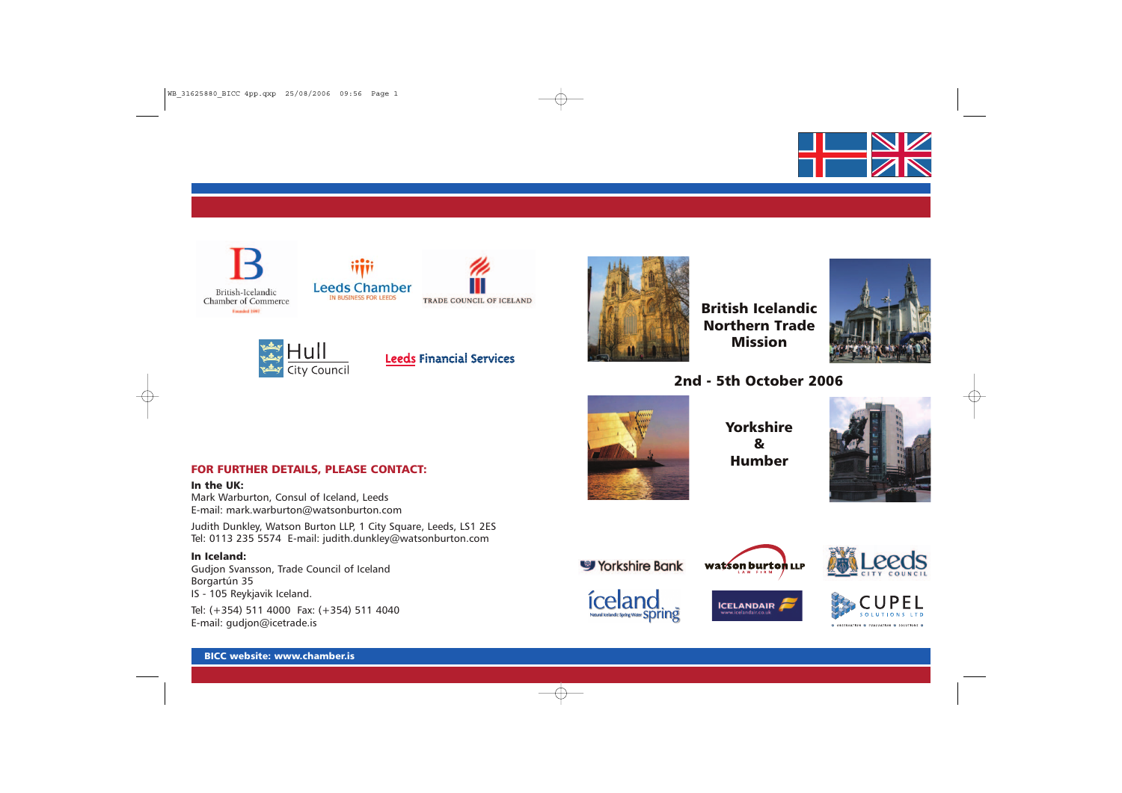



**Example 14**<br>
Example 14 VIII<br>
The Council



**Leeds Financial Services** 



British Icelandic Northern Trade Mission



# 2nd - 5th October 2006



Yorkshire & Humber



# FOR FURTHER DETAILS, PLEASE CONTACT:

In the UK:

Mark Warburton, Consul of Iceland, Leeds E-mail: mark.warburton@watsonburton.com

Judith Dunkley, Watson Burton LLP, 1 City Square, Leeds, LS1 2ES Tel: 0113 235 5574 E-mail: judith.dunkley@watsonburton.com

## In Iceland:

Gudjon Svansson, Trade Council of Iceland Borgartún 35 IS - 105 Reykjavik Iceland.

Tel: (+354) 511 4000 Fax: (+354) 511 4040 E-mail: gudjon@icetrade.is